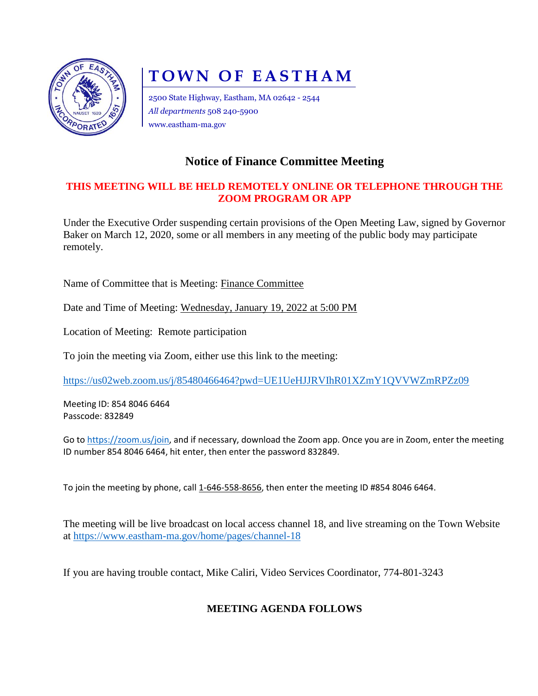

# **TOWN OF EASTHAM**

2500 State Highway, Eastham, MA 02642 - 2544 *All departments* 508 240-5900 www.eastham-ma.gov

## **Notice of Finance Committee Meeting**

#### **THIS MEETING WILL BE HELD REMOTELY ONLINE OR TELEPHONE THROUGH THE ZOOM PROGRAM OR APP**

Under the Executive Order suspending certain provisions of the Open Meeting Law, signed by Governor Baker on March 12, 2020, some or all members in any meeting of the public body may participate remotely.

Name of Committee that is Meeting: Finance Committee

Date and Time of Meeting: Wednesday, January 19, 2022 at 5:00 PM

Location of Meeting: Remote participation

To join the meeting via Zoom, either use this link to the meeting:

<https://us02web.zoom.us/j/85480466464?pwd=UE1UeHJJRVIhR01XZmY1QVVWZmRPZz09>

Meeting ID: 854 8046 6464 Passcode: 832849

Go to [https://zoom.us/join,](https://zoom.us/join) and if necessary, download the Zoom app. Once you are in Zoom, enter the meeting ID number 854 8046 6464, hit enter, then enter the password 832849.

To join the meeting by phone, call 1-646-558-8656, then enter the meeting ID #854 8046 6464.

The meeting will be live broadcast on local access channel 18, and live streaming on the Town Website at<https://www.eastham-ma.gov/home/pages/channel-18>

If you are having trouble contact, Mike Caliri, Video Services Coordinator, 774-801-3243

### **MEETING AGENDA FOLLOWS**